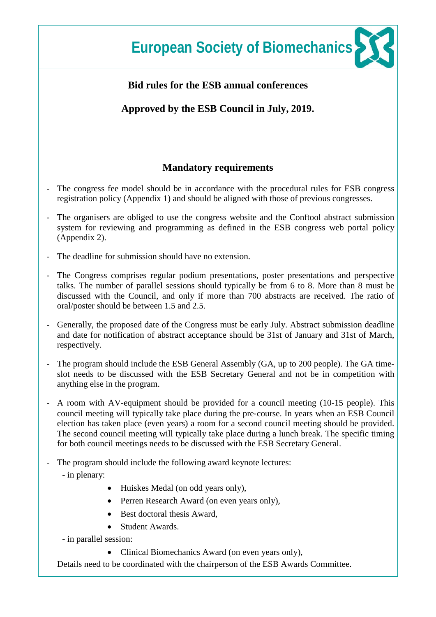### **Bid rules for the ESB annual conferences**

**Approved by the ESB Council in July, 2019.** 

### **Mandatory requirements**

- The congress fee model should be in accordance with the procedural rules for ESB congress registration policy (Appendix 1) and should be aligned with those of previous congresses.
- The organisers are obliged to use the congress website and the Conftool abstract submission system for reviewing and programming as defined in the ESB congress web portal policy (Appendix 2).
- The deadline for submission should have no extension.
- The Congress comprises regular podium presentations, poster presentations and perspective talks. The number of parallel sessions should typically be from 6 to 8. More than 8 must be discussed with the Council, and only if more than 700 abstracts are received. The ratio of oral/poster should be between 1.5 and 2.5.
- Generally, the proposed date of the Congress must be early July. Abstract submission deadline and date for notification of abstract acceptance should be 31st of January and 31st of March, respectively.
- The program should include the ESB General Assembly (GA, up to 200 people). The GA timeslot needs to be discussed with the ESB Secretary General and not be in competition with anything else in the program.
- A room with AV-equipment should be provided for a council meeting (10-15 people). This council meeting will typically take place during the pre‐course. In years when an ESB Council election has taken place (even years) a room for a second council meeting should be provided. The second council meeting will typically take place during a lunch break. The specific timing for both council meetings needs to be discussed with the ESB Secretary General.
- The program should include the following award keynote lectures:
	- in plenary:
		- Huiskes Medal (on odd years only),
		- Perren Research Award (on even years only),
		- Best doctoral thesis Award,
		- Student Awards.
	- in parallel session:
		- Clinical Biomechanics Award (on even years only),

Details need to be coordinated with the chairperson of the ESB Awards Committee.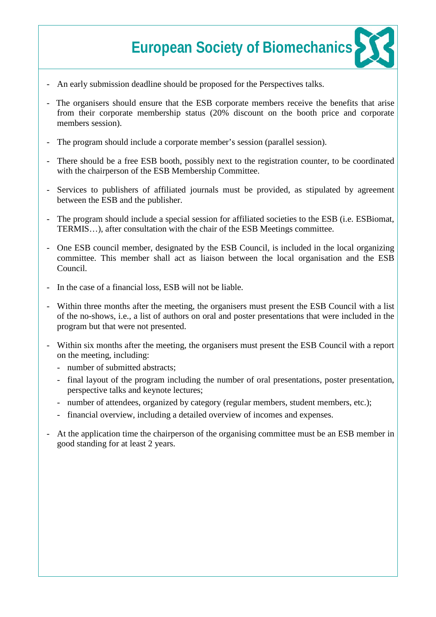- An early submission deadline should be proposed for the Perspectives talks.
- The organisers should ensure that the ESB corporate members receive the benefits that arise from their corporate membership status (20% discount on the booth price and corporate members session).
- The program should include a corporate member's session (parallel session).
- There should be a free ESB booth, possibly next to the registration counter, to be coordinated with the chairperson of the ESB Membership Committee.
- Services to publishers of affiliated journals must be provided, as stipulated by agreement between the ESB and the publisher.
- The program should include a special session for affiliated societies to the ESB (i.e. ESB iomat, TERMIS…), after consultation with the chair of the ESB Meetings committee.
- One ESB council member, designated by the ESB Council, is included in the local organizing committee. This member shall act as liaison between the local organisation and the ESB Council.
- In the case of a financial loss, ESB will not be liable.
- Within three months after the meeting, the organisers must present the ESB Council with a list of the no-shows, i.e., a list of authors on oral and poster presentations that were included in the program but that were not presented.
- Within six months after the meeting, the organisers must present the ESB Council with a report on the meeting, including:
	- number of submitted abstracts;
	- final layout of the program including the number of oral presentations, poster presentation, perspective talks and keynote lectures;
	- number of attendees, organized by category (regular members, student members, etc.);
	- financial overview, including a detailed overview of incomes and expenses.
- At the application time the chairperson of the organising committee must be an ESB member in good standing for at least 2 years.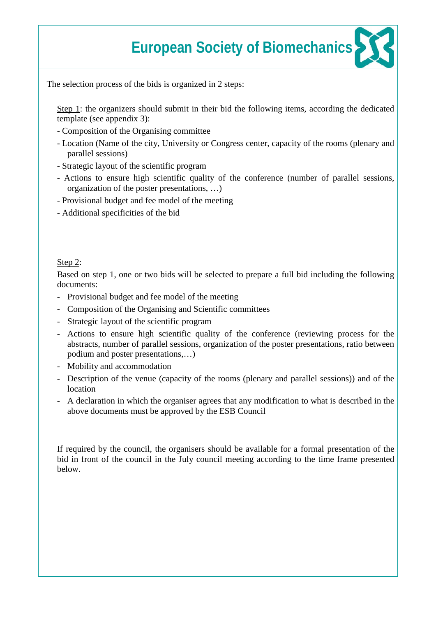The selection process of the bids is organized in 2 steps:

Step 1: the organizers should submit in their bid the following items, according the dedicated template (see appendix 3):

- Composition of the Organising committee
- Location (Name of the city, University or Congress center, capacity of the rooms (plenary and parallel sessions)
- Strategic layout of the scientific program
- Actions to ensure high scientific quality of the conference (number of parallel sessions, organization of the poster presentations, …)
- Provisional budget and fee model of the meeting
- Additional specificities of the bid

### Step 2:

Based on step 1, one or two bids will be selected to prepare a full bid including the following documents:

- Provisional budget and fee model of the meeting
- Composition of the Organising and Scientific committees
- Strategic layout of the scientific program
- Actions to ensure high scientific quality of the conference (reviewing process for the abstracts, number of parallel sessions, organization of the poster presentations, ratio between podium and poster presentations,…)
- Mobility and accommodation
- Description of the venue (capacity of the rooms (plenary and parallel sessions)) and of the location
- A declaration in which the organiser agrees that any modification to what is described in the above documents must be approved by the ESB Council

If required by the council, the organisers should be available for a formal presentation of the bid in front of the council in the July council meeting according to the time frame presented below.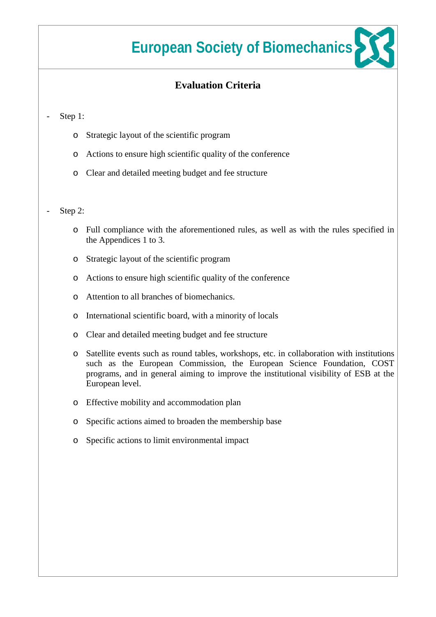### **Evaluation Criteria**

#### Step 1:

- o Strategic layout of the scientific program
- o Actions to ensure high scientific quality of the conference
- o Clear and detailed meeting budget and fee structure

#### Step 2:

- o Full compliance with the aforementioned rules, as well as with the rules specified in the Appendices 1 to 3.
- o Strategic layout of the scientific program
- o Actions to ensure high scientific quality of the conference
- o Attention to all branches of biomechanics.
- o International scientific board, with a minority of locals
- o Clear and detailed meeting budget and fee structure
- o Satellite events such as round tables, workshops, etc. in collaboration with institutions such as the European Commission, the European Science Foundation, COST programs, and in general aiming to improve the institutional visibility of ESB at the European level.
- o Effective mobility and accommodation plan
- o Specific actions aimed to broaden the membership base
- o Specific actions to limit environmental impact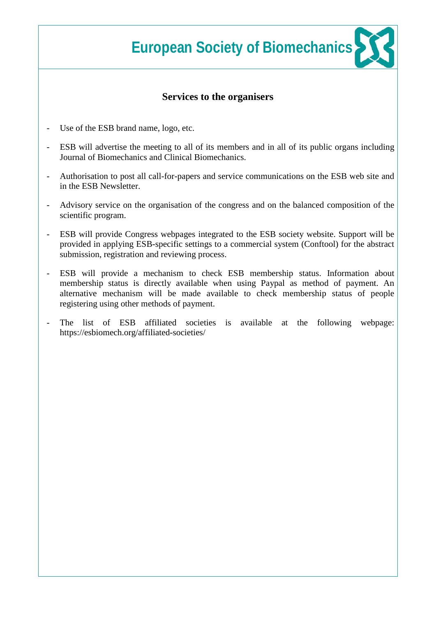### **Services to the organisers**

- Use of the ESB brand name, logo, etc.
- ESB will advertise the meeting to all of its members and in all of its public organs including Journal of Biomechanics and Clinical Biomechanics.
- Authorisation to post all call-for-papers and service communications on the ESB web site and in the ESB Newsletter.
- Advisory service on the organisation of the congress and on the balanced composition of the scientific program.
- ESB will provide Congress webpages integrated to the ESB society website. Support will be provided in applying ESB-specific settings to a commercial system (Conftool) for the abstract submission, registration and reviewing process.
- ESB will provide a mechanism to check ESB membership status. Information about membership status is directly available when using Paypal as method of payment. An alternative mechanism will be made available to check membership status of people registering using other methods of payment.
- The list of ESB affiliated societies is available at the following webpage: https://esbiomech.org/affiliated-societies/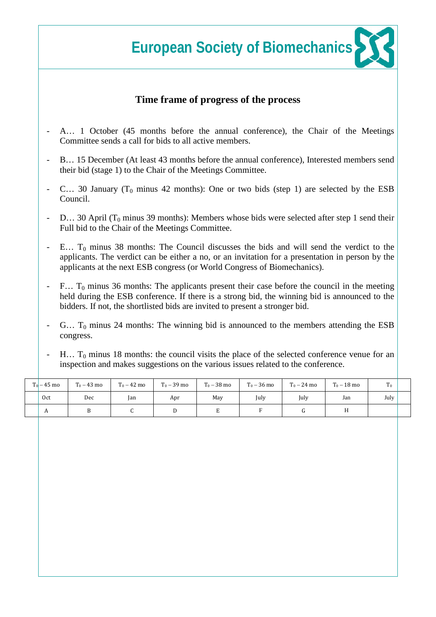### **Time frame of progress of the process**

- A... 1 October (45 months before the annual conference), the Chair of the Meetings Committee sends a call for bids to all active members.
- B… 15 December (At least 43 months before the annual conference), Interested members send their bid (stage 1) to the Chair of the Meetings Committee.
- C... 30 January ( $T_0$  minus 42 months): One or two bids (step 1) are selected by the ESB Council.
- D... 30 April ( $T_0$  minus 39 months): Members whose bids were selected after step 1 send their Full bid to the Chair of the Meetings Committee.
- $E...$  T<sub>0</sub> minus 38 months: The Council discusses the bids and will send the verdict to the applicants. The verdict can be either a no, or an invitation for a presentation in person by the applicants at the next ESB congress (or World Congress of Biomechanics).
- $F...$  T<sub>0</sub> minus 36 months: The applicants present their case before the council in the meeting held during the ESB conference. If there is a strong bid, the winning bid is announced to the bidders. If not, the shortlisted bids are invited to present a stronger bid.
- $G...$  T<sub>0</sub> minus 24 months: The winning bid is announced to the members attending the ESB congress.
- $H...$  T<sub>0</sub> minus 18 months: the council visits the place of the selected conference venue for an inspection and makes suggestions on the various issues related to the conference.

| $T_0 - 45$ mo | $T_0 - 43$ mo | $T_0 - 42$ mo | $T_0 - 39$ mo | $T_0 - 38 \text{ mo}$ | $T_0 - 36$ mo | $T_0 - 24$ mo | $T_0 - 18$ mo | $T_0$ |  |
|---------------|---------------|---------------|---------------|-----------------------|---------------|---------------|---------------|-------|--|
| Oct           | Dec           | lan           | Apr           | May                   | July          | July          | Jan           | July  |  |
| n             |               |               |               |                       |               |               | 11            |       |  |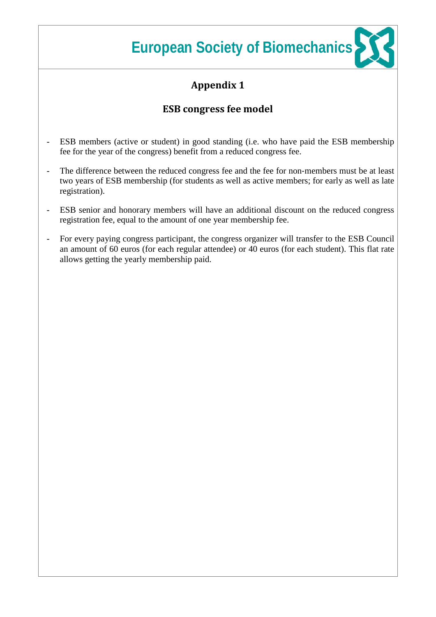# **Appendix 1**

## **ESB congress fee model**

- ESB members (active or student) in good standing (i.e. who have paid the ESB membership fee for the year of the congress) benefit from a reduced congress fee.
- The difference between the reduced congress fee and the fee for non-members must be at least two years of ESB membership (for students as well as active members; for early as well as late registration).
- ESB senior and honorary members will have an additional discount on the reduced congress registration fee, equal to the amount of one year membership fee.
- For every paying congress participant, the congress organizer will transfer to the ESB Council an amount of 60 euros (for each regular attendee) or 40 euros (for each student). This flat rate allows getting the yearly membership paid.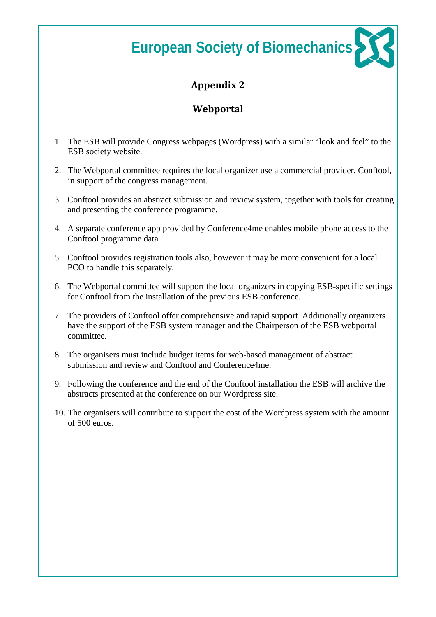# **Appendix 2**

## **Webportal**

- 1. The ESB will provide Congress webpages (Wordpress) with a similar "look and feel" to the ESB society website.
- 2. The Webportal committee requires the local organizer use a commercial provider, Conftool, in support of the congress management.
- 3. Conftool provides an abstract submission and review system, together with tools for creating and presenting the conference programme.
- 4. A separate conference app provided by Conference4me enables mobile phone access to the Conftool programme data
- 5. Conftool provides registration tools also, however it may be more convenient for a local PCO to handle this separately.
- 6. The Webportal committee will support the local organizers in copying ESB-specific settings for Conftool from the installation of the previous ESB conference.
- 7. The providers of Conftool offer comprehensive and rapid support. Additionally organizers have the support of the ESB system manager and the Chairperson of the ESB webportal committee.
- 8. The organisers must include budget items for web-based management of abstract submission and review and Conftool and Conference4me.
- 9. Following the conference and the end of the Conftool installation the ESB will archive the abstracts presented at the conference on our Wordpress site.
- 10. The organisers will contribute to support the cost of the Wordpress system with the amount of 500 euros.